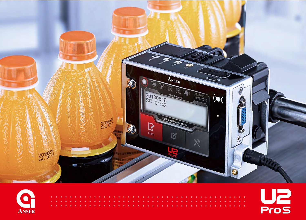



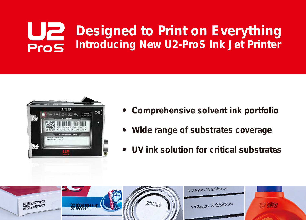## <u>U2</u> **Designed to Print on Everything Introducing New U2-ProS Ink Jet Printer** Pros



- **Comprehensive solvent ink portfolio**
- **Wide range of substrates coverage**
- **UV ink solution for critical substrates**

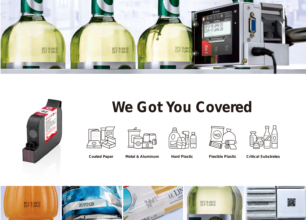



## **We Got You Covered**







**Coated Paper Metal & Aluminum Hard Plastic Flexible Plastic Critical Substrates**